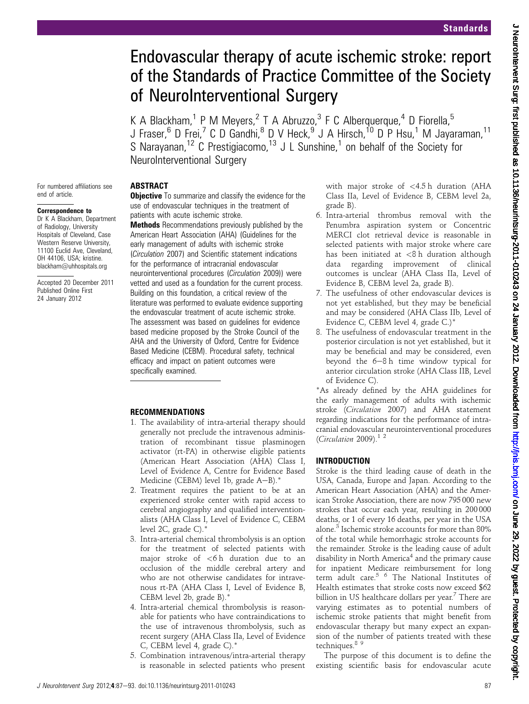## Endovascular therapy of acute ischemic stroke: report of the Standards of Practice Committee of the Society of NeuroInterventional Surgery

K A Blackham,<sup>1</sup> P M Meyers,<sup>2</sup> T A Abruzzo,<sup>3</sup> F C Alberguerque,<sup>4</sup> D Fiorella,<sup>5</sup> J Fraser,<sup>6</sup> D Frei,<sup>7</sup> C D Gandhi,<sup>8</sup> D V Heck,<sup>9</sup> J A Hirsch,<sup>10</sup> D P Hsu,<sup>1</sup> M Jayaraman,<sup>11</sup> S Narayanan,<sup>12</sup> C Prestigiacomo,<sup>13</sup> J L Sunshine,<sup>1</sup> on behalf of the Society for NeuroInterventional Surgery

### ABSTRACT

For numbered affiliations see

end of article.

Correspondence to Dr K A Blackham, Department of Radiology, University Hospitals of Cleveland, Case Western Reserve University, 11100 Euclid Ave, Cleveland, OH 44106, USA; kristine. blackham@uhhospitals.org Accepted 20 December 2011 Published Online First 24 January 2012

**Objective** To summarize and classify the evidence for the use of endovascular techniques in the treatment of patients with acute ischemic stroke.

**Methods** Recommendations previously published by the American Heart Association (AHA) (Guidelines for the early management of adults with ischemic stroke (Circulation 2007) and Scientific statement indications for the performance of intracranial endovascular neurointerventional procedures (Circulation 2009)) were vetted and used as a foundation for the current process. Building on this foundation, a critical review of the literature was performed to evaluate evidence supporting the endovascular treatment of acute ischemic stroke. The assessment was based on guidelines for evidence based medicine proposed by the Stroke Council of the AHA and the University of Oxford, Centre for Evidence Based Medicine (CEBM). Procedural safety, technical efficacy and impact on patient outcomes were specifically examined.

### RECOMMENDATIONS

- 1. The availability of intra-arterial therapy should generally not preclude the intravenous administration of recombinant tissue plasminogen activator (rt-PA) in otherwise eligible patients (American Heart Association (AHA) Class I, Level of Evidence A, Centre for Evidence Based Medicine (CEBM) level 1b, grade  $A-B$ ).\*
- 2. Treatment requires the patient to be at an experienced stroke center with rapid access to cerebral angiography and qualified interventionalists (AHA Class I, Level of Evidence C, CEBM level 2C, grade C).\*
- 3. Intra-arterial chemical thrombolysis is an option for the treatment of selected patients with major stroke of <6 h duration due to an occlusion of the middle cerebral artery and who are not otherwise candidates for intravenous rt-PA (AHA Class I, Level of Evidence B, CEBM level 2b, grade B).\*
- 4. Intra-arterial chemical thrombolysis is reasonable for patients who have contraindications to the use of intravenous thrombolysis, such as recent surgery (AHA Class IIa, Level of Evidence C, CEBM level 4, grade C).\*
- 5. Combination intravenous/intra-arterial therapy is reasonable in selected patients who present

with major stroke of <4.5 h duration (AHA Class IIa, Level of Evidence B, CEBM level 2a, grade B).

- 6. Intra-arterial thrombus removal with the Penumbra aspiration system or Concentric MERCI clot retrieval device is reasonable in selected patients with major stroke where care has been initiated at  $< 8$  h duration although data regarding improvement of clinical outcomes is unclear (AHA Class IIa, Level of Evidence B, CEBM level 2a, grade B).
- 7. The usefulness of other endovascular devices is not yet established, but they may be beneficial and may be considered (AHA Class IIb, Level of Evidence C, CEBM level 4, grade C.)\*
- 8. The usefulness of endovascular treatment in the posterior circulation is not yet established, but it may be beneficial and may be considered, even beyond the  $6-8$  h time window typical for anterior circulation stroke (AHA Class IIB, Level of Evidence C).

\*As already defined by the AHA guidelines for the early management of adults with ischemic stroke (Circulation 2007) and AHA statement regarding indications for the performance of intracranial endovascular neurointerventional procedures (Circulation 2009). $12$ 

### INTRODUCTION

Stroke is the third leading cause of death in the USA, Canada, Europe and Japan. According to the American Heart Association (AHA) and the American Stroke Association, there are now 795 000 new strokes that occur each year, resulting in 200 000 deaths, or 1 of every 16 deaths, per year in the USA alone.<sup>3</sup> Ischemic stroke accounts for more than 80% of the total while hemorrhagic stroke accounts for the remainder. Stroke is the leading cause of adult disability in North America<sup>4</sup> and the primary cause for inpatient Medicare reimbursement for long term adult care.<sup>5 6</sup> The National Institutes of Health estimates that stroke costs now exceed \$62 billion in US healthcare dollars per year.<sup>7</sup> There are varying estimates as to potential numbers of ischemic stroke patients that might benefit from endovascular therapy but many expect an expansion of the number of patients treated with these techniques.<sup>89</sup>

The purpose of this document is to define the existing scientific basis for endovascular acute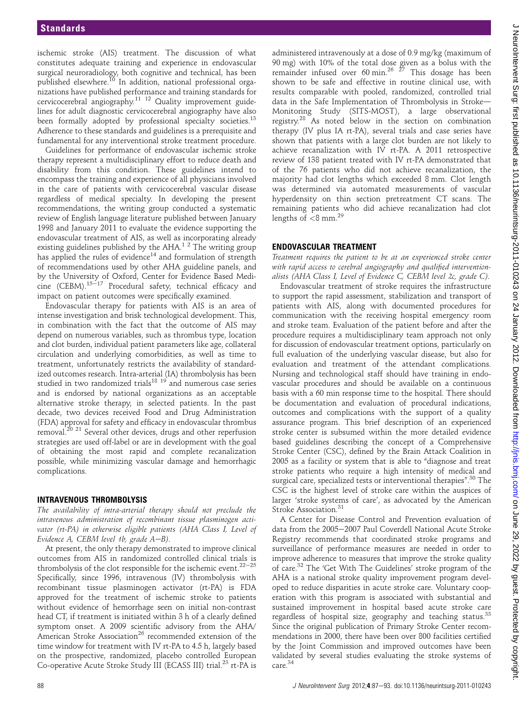ischemic stroke (AIS) treatment. The discussion of what constitutes adequate training and experience in endovascular surgical neuroradiology, both cognitive and technical, has been published elsewhere.<sup>10</sup> In addition, national professional organizations have published performance and training standards for cervicocerebral angiography.11 12 Quality improvement guidelines for adult diagnostic cervicocerebral angiography have also been formally adopted by professional specialty societies.<sup>13</sup> Adherence to these standards and guidelines is a prerequisite and fundamental for any interventional stroke treatment procedure.

Guidelines for performance of endovascular ischemic stroke therapy represent a multidisciplinary effort to reduce death and disability from this condition. These guidelines intend to encompass the training and experience of all physicians involved in the care of patients with cervicocerebral vascular disease regardless of medical specialty. In developing the present recommendations, the writing group conducted a systematic review of English language literature published between January 1998 and January 2011 to evaluate the evidence supporting the endovascular treatment of AIS, as well as incorporating already existing guidelines published by the AHA.<sup>12</sup> The writing group has applied the rules of evidence<sup>14</sup> and formulation of strength of recommendations used by other AHA guideline panels, and by the University of Oxford, Center for Evidence Based Medicine (CEBM). $15-17$  Procedural safety, technical efficacy and impact on patient outcomes were specifically examined.

Endovascular therapy for patients with AIS is an area of intense investigation and brisk technological development. This, in combination with the fact that the outcome of AIS may depend on numerous variables, such as thrombus type, location and clot burden, individual patient parameters like age, collateral circulation and underlying comorbidities, as well as time to treatment, unfortunately restricts the availability of standardized outcomes research. Intra-arterial (IA) thrombolysis has been studied in two randomized trials<sup>18 19</sup> and numerous case series and is endorsed by national organizations as an acceptable alternative stroke therapy, in selected patients. In the past decade, two devices received Food and Drug Administration (FDA) approval for safety and efficacy in endovascular thrombus removal.20 21 Several other devices, drugs and other reperfusion strategies are used off-label or are in development with the goal of obtaining the most rapid and complete recanalization possible, while minimizing vascular damage and hemorrhagic complications.

### INTRAVENOUS THROMBOLYSIS

The availability of intra-arterial therapy should not preclude the intravenous administration of recombinant tissue plasminogen activator (rt-PA) in otherwise eligible patients (AHA Class I, Level of Evidence A, CEBM level  $1b$ , grade  $A-B$ ).

At present, the only therapy demonstrated to improve clinical outcomes from AIS in randomized controlled clinical trials is thrombolysis of the clot responsible for the ischemic event.  $\real^{22-25}$ Specifically, since 1996, intravenous (IV) thrombolysis with recombinant tissue plasminogen activator (rt-PA) is FDA approved for the treatment of ischemic stroke to patients without evidence of hemorrhage seen on initial non-contrast head CT, if treatment is initiated within 3 h of a clearly defined symptom onset. A 2009 scientific advisory from the AHA/ American Stroke Association<sup>26</sup> recommended extension of the time window for treatment with IV rt-PA to 4.5 h, largely based on the prospective, randomized, placebo controlled European Co-operative Acute Stroke Study III (ECASS III) trial.<sup>23</sup> rt-PA is

administered intravenously at a dose of 0.9 mg/kg (maximum of 90 mg) with 10% of the total dose given as a bolus with the remainder infused over 60 min.<sup>26 27</sup> This dosage has been shown to be safe and effective in routine clinical use, with results comparable with pooled, randomized, controlled trial data in the Safe Implementation of Thrombolysis in Stroke-Monitoring Study (SITS-MOST), a large observational registry.<sup>28</sup> As noted below in the section on combination therapy (IV plus IA rt-PA), several trials and case series have shown that patients with a large clot burden are not likely to achieve recanalization with IV rt-PA. A 2011 retrospective review of 138 patient treated with IV rt-PA demonstrated that of the 76 patients who did not achieve recanalization, the majority had clot lengths which exceeded 8 mm. Clot length was determined via automated measurements of vascular hyperdensity on thin section pretreatment CT scans. The remaining patients who did achieve recanalization had clot lengths of  $<$ 8 mm.<sup>29</sup>

### ENDOVASCULAR TREATMENT

Treatment requires the patient to be at an experienced stroke center with rapid access to cerebral angiography and qualified interventionalists (AHA Class I, Level of Evidence C, CEBM level 2c, grade C).

Endovascular treatment of stroke requires the infrastructure to support the rapid assessment, stabilization and transport of patients with AIS, along with documented procedures for communication with the receiving hospital emergency room and stroke team. Evaluation of the patient before and after the procedure requires a multidisciplinary team approach not only for discussion of endovascular treatment options, particularly on full evaluation of the underlying vascular disease, but also for evaluation and treatment of the attendant complications. Nursing and technological staff should have training in endovascular procedures and should be available on a continuous basis with a 60 min response time to the hospital. There should be documentation and evaluation of procedural indications, outcomes and complications with the support of a quality assurance program. This brief description of an experienced stroke center is subsumed within the more detailed evidence based guidelines describing the concept of a Comprehensive Stroke Center (CSC), defined by the Brain Attack Coalition in 2005 as a facility or system that is able to "diagnose and treat stroke patients who require a high intensity of medical and surgical care, specialized tests or interventional therapies". <sup>30</sup> The CSC is the highest level of stroke care within the auspices of larger 'stroke systems of care', as advocated by the American Stroke Association.<sup>31</sup>

A Center for Disease Control and Prevention evaluation of data from the 2005-2007 Paul Coverdell National Acute Stroke Registry recommends that coordinated stroke programs and surveillance of performance measures are needed in order to improve adherence to measures that improve the stroke quality of care.<sup>32</sup> The 'Get With The Guidelines' stroke program of the AHA is a national stroke quality improvement program developed to reduce disparities in acute stroke care. Voluntary cooperation with this program is associated with substantial and sustained improvement in hospital based acute stroke care regardless of hospital size, geography and teaching status.<sup>33</sup> Since the original publication of Primary Stroke Center recommendations in 2000, there have been over 800 facilities certified by the Joint Commission and improved outcomes have been validated by several studies evaluating the stroke systems of care.<sup>34</sup>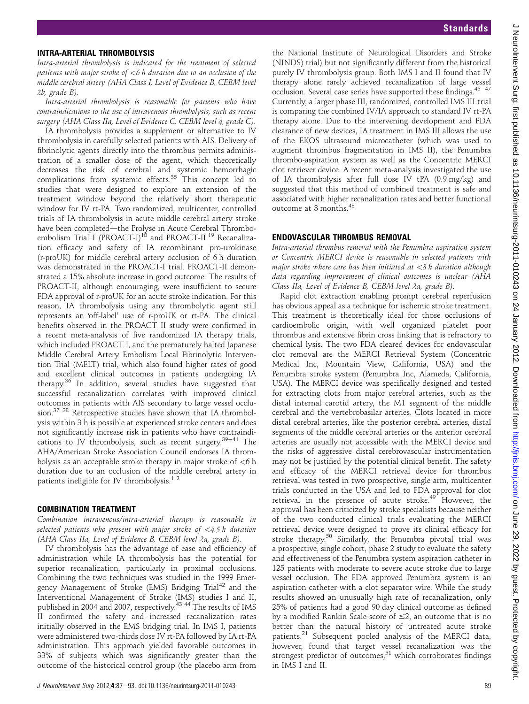### INTRA-ARTERIAL THROMBOLYSIS

Intra-arterial thrombolysis is indicated for the treatment of selected patients with major stroke of <6 h duration due to an occlusion of the middle cerebral artery (AHA Class I, Level of Evidence B, CEBM level 2b, grade B).

Intra-arterial thrombolysis is reasonable for patients who have contraindications to the use of intravenous thrombolysis, such as recent surgery (AHA Class IIa, Level of Evidence C, CEBM level 4, grade C).

IA thrombolysis provides a supplement or alternative to IV thrombolysis in carefully selected patients with AIS. Delivery of fibrinolytic agents directly into the thrombus permits administration of a smaller dose of the agent, which theoretically decreases the risk of cerebral and systemic hemorrhagic complications from systemic effects.<sup>35</sup> This concept led to studies that were designed to explore an extension of the treatment window beyond the relatively short therapeutic window for IV rt-PA. Two randomized, multicenter, controlled trials of IA thrombolysis in acute middle cerebral artery stroke have been completed—the Prolyse in Acute Cerebral Thromboembolism Trial I (PROACT-I)<sup>18</sup> and PROACT-II.<sup>19</sup> Recanalization efficacy and safety of IA recombinant pro-urokinase (r-proUK) for middle cerebral artery occlusion of 6 h duration was demonstrated in the PROACT-I trial. PROACT-II demonstrated a 15% absolute increase in good outcome. The results of PROACT-II, although encouraging, were insufficient to secure FDA approval of r-proUK for an acute stroke indication. For this reason, IA thrombolysis using any thrombolytic agent still represents an 'off-label' use of r-proUK or rt-PA. The clinical benefits observed in the PROACT II study were confirmed in a recent meta-analysis of five randomized IA therapy trials, which included PROACT I, and the prematurely halted Japanese Middle Cerebral Artery Embolism Local Fibrinolytic Intervention Trial (MELT) trial, which also found higher rates of good and excellent clinical outcomes in patients undergoing IA therapy.<sup>36</sup> In addition, several studies have suggested that successful recanalization correlates with improved clinical outcomes in patients with AIS secondary to large vessel occlusion.37 38 Retrospective studies have shown that IA thrombolysis within 3 h is possible at experienced stroke centers and does not significantly increase risk in patients who have contraindications to IV thrombolysis, such as recent surgery. $39-41$  The AHA/American Stroke Association Council endorses IA thrombolysis as an acceptable stroke therapy in major stroke of  $<$ 6 h duration due to an occlusion of the middle cerebral artery in patients ineligible for IV thrombolysis.<sup>12</sup>

### COMBINATION TREATMENT

Combination intravenous/intra-arterial therapy is reasonable in selected patients who present with major stroke of <4.5 h duration (AHA Class IIa, Level of Evidence B, CEBM level 2a, grade B).

IV thrombolysis has the advantage of ease and efficiency of administration while IA thrombolysis has the potential for superior recanalization, particularly in proximal occlusions. Combining the two techniques was studied in the 1999 Emergency Management of Stroke (EMS) Bridging Trial<sup>42</sup> and the Interventional Management of Stroke (IMS) studies I and II, published in 2004 and 2007, respectively.<sup>43</sup> <sup>44</sup> The results of IMS II confirmed the safety and increased recanalization rates initially observed in the EMS bridging trial. In IMS I, patients were administered two-thirds dose IV rt-PA followed by IA rt-PA administration. This approach yielded favorable outcomes in 33% of subjects which was significantly greater than the outcome of the historical control group (the placebo arm from

the National Institute of Neurological Disorders and Stroke (NINDS) trial) but not significantly different from the historical purely IV thrombolysis group. Both IMS I and II found that IV therapy alone rarely achieved recanalization of large vessel occlusion. Several case series have supported these findings.  $45-47$ Currently, a larger phase III, randomized, controlled IMS III trial is comparing the combined IV/IA approach to standard IV rt-PA therapy alone. Due to the intervening development and FDA clearance of new devices, IA treatment in IMS III allows the use of the EKOS ultrasound microcatheter (which was used to augment thrombus fragmentation in IMS II), the Penumbra thrombo-aspiration system as well as the Concentric MERCI clot retriever device. A recent meta-analysis investigated the use of IA thrombolysis after full dose IV tPA (0.9 mg/kg) and suggested that this method of combined treatment is safe and associated with higher recanalization rates and better functional outcome at 3 months.<sup>48</sup>

### ENDOVASCULAR THROMBUS REMOVAL

Intra-arterial thrombus removal with the Penumbra aspiration system or Concentric MERCI device is reasonable in selected patients with major stroke where care has been initiated at  $\langle 8 \, h \,$  duration although data regarding improvement of clinical outcomes is unclear (AHA Class IIa, Level of Evidence B, CEBM level 2a, grade B).

Rapid clot extraction enabling prompt cerebral reperfusion has obvious appeal as a technique for ischemic stroke treatment. This treatment is theoretically ideal for those occlusions of cardioembolic origin, with well organized platelet poor thrombus and extensive fibrin cross linking that is refractory to chemical lysis. The two FDA cleared devices for endovascular clot removal are the MERCI Retrieval System (Concentric Medical Inc, Mountain View, California, USA) and the Penumbra stroke system (Penumbra Inc, Alameda, California, USA). The MERCI device was specifically designed and tested for extracting clots from major cerebral arteries, such as the distal internal carotid artery, the M1 segment of the middle cerebral and the vertebrobasilar arteries. Clots located in more distal cerebral arteries, like the posterior cerebral arteries, distal segments of the middle cerebral arteries or the anterior cerebral arteries are usually not accessible with the MERCI device and the risks of aggressive distal cerebrovascular instrumentation may not be justified by the potential clinical benefit. The safety and efficacy of the MERCI retrieval device for thrombus retrieval was tested in two prospective, single arm, multicenter trials conducted in the USA and led to FDA approval for clot retrieval in the presence of acute stroke.<sup>49</sup> However, the approval has been criticized by stroke specialists because neither of the two conducted clinical trials evaluating the MERCI retrieval device were designed to prove its clinical efficacy for stroke therapy.<sup>50</sup> Similarly, the Penumbra pivotal trial was a prospective, single cohort, phase 2 study to evaluate the safety and effectiveness of the Penumbra system aspiration catheter in 125 patients with moderate to severe acute stroke due to large vessel occlusion. The FDA approved Penumbra system is an aspiration catheter with a clot separator wire. While the study results showed an unusually high rate of recanalization, only 25% of patients had a good 90 day clinical outcome as defined by a modified Rankin Scale score of  $\leq 2$ , an outcome that is no better than the natural history of untreated acute stroke patients.<sup>21</sup> Subsequent pooled analysis of the MERCI data, however, found that target vessel recanalization was the strongest predictor of outcomes, $51$  which corroborates findings in IMS I and II.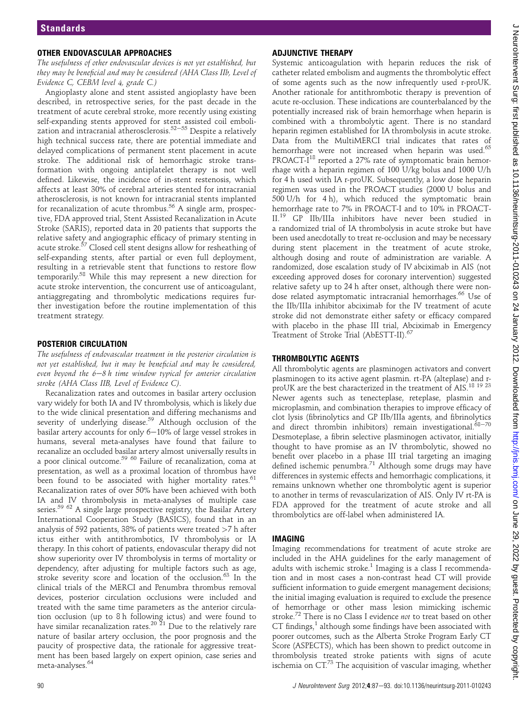### OTHER ENDOVASCULAR APPROACHES

The usefulness of other endovascular devices is not yet established, but they may be beneficial and may be considered (AHA Class IIb, Level of Evidence C, CEBM level 4, grade C.)

Angioplasty alone and stent assisted angioplasty have been described, in retrospective series, for the past decade in the treatment of acute cerebral stroke, more recently using existing self-expanding stents approved for stent assisted coil embolization and intracranial atherosclerosis.<sup>52-55</sup> Despite a relatively high technical success rate, there are potential immediate and delayed complications of permanent stent placement in acute stroke. The additional risk of hemorrhagic stroke transformation with ongoing antiplatelet therapy is not well defined. Likewise, the incidence of in-stent restenosis, which affects at least 30% of cerebral arteries stented for intracranial atherosclerosis, is not known for intracranial stents implanted for recanalization of acute thrombus.<sup>56</sup> A single arm, prospective, FDA approved trial, Stent Assisted Recanalization in Acute Stroke (SARIS), reported data in 20 patients that supports the relative safety and angiographic efficacy of primary stenting in acute stroke.<sup>57</sup> Closed cell stent designs allow for resheathing of self-expanding stents, after partial or even full deployment, resulting in a retrievable stent that functions to restore flow temporarily.<sup>58</sup> While this may represent a new direction for acute stroke intervention, the concurrent use of anticoagulant, antiaggregating and thrombolytic medications requires further investigation before the routine implementation of this treatment strategy.

### POSTERIOR CIRCULATION

The usefulness of endovascular treatment in the posterior circulation is not yet established, but it may be beneficial and may be considered, even beyond the  $6-8$  h time window typical for anterior circulation stroke (AHA Class IIB, Level of Evidence C).

Recanalization rates and outcomes in basilar artery occlusion vary widely for both IA and IV thrombolysis, which is likely due to the wide clinical presentation and differing mechanisms and severity of underlying disease.<sup>59</sup> Although occlusion of the basilar artery accounts for only  $6-10\%$  of large vessel strokes in humans, several meta-analyses have found that failure to recanalize an occluded basilar artery almost universally results in a poor clinical outcome.59 60 Failure of recanalization, coma at presentation, as well as a proximal location of thrombus have been found to be associated with higher mortality rates. $61$ Recanalization rates of over 50% have been achieved with both IA and IV thrombolysis in meta-analyses of multiple case series.<sup>59 62</sup> A single large prospective registry, the Basilar Artery International Cooperation Study (BASICS), found that in an analysis of 592 patients, 38% of patients were treated >7 h after ictus either with antithrombotics, IV thrombolysis or IA therapy. In this cohort of patients, endovascular therapy did not show superiority over IV thrombolysis in terms of mortality or dependency, after adjusting for multiple factors such as age, stroke severity score and location of the occlusion.<sup>63</sup> In the clinical trials of the MERCI and Penumbra thrombus removal devices, posterior circulation occlusions were included and treated with the same time parameters as the anterior circulation occlusion (up to 8 h following ictus) and were found to have similar recanalization rates. $^{\mathrm{20\,\,21}}$  Due to the relatively rare nature of basilar artery occlusion, the poor prognosis and the paucity of prospective data, the rationale for aggressive treatment has been based largely on expert opinion, case series and meta-analyses.<sup>64</sup>

### ADJUNCTIVE THERAPY

Systemic anticoagulation with heparin reduces the risk of catheter related embolism and augments the thrombolytic effect of some agents such as the now infrequently used r-proUK. Another rationale for antithrombotic therapy is prevention of acute re-occlusion. These indications are counterbalanced by the potentially increased risk of brain hemorrhage when heparin is combined with a thrombolytic agent. There is no standard heparin regimen established for IA thrombolysis in acute stroke. Data from the MultiMERCI trial indicates that rates of hemorrhage were not increased when heparin was used.<sup>65</sup> PROACT-I<sup>18</sup> reported a 27% rate of symptomatic brain hemorrhage with a heparin regimen of 100 U/kg bolus and 1000 U/h for 4 h used with IA r-proUK. Subsequently, a low dose heparin regimen was used in the PROACT studies (2000 U bolus and 500 U/h for 4 h), which reduced the symptomatic brain hemorrhage rate to 7% in PROACT-I and to 10% in PROACT-II.19 GP IIb/IIIa inhibitors have never been studied in a randomized trial of IA thrombolysis in acute stroke but have been used anecdotally to treat re-occlusion and may be necessary during stent placement in the treatment of acute stroke, although dosing and route of administration are variable. A randomized, dose escalation study of IV abciximab in AIS (not exceeding approved doses for coronary intervention) suggested relative safety up to 24 h after onset, although there were nondose related asymptomatic intracranial hemorrhages.<sup>66</sup> Use of the IIb/IIIa inhibitor abciximab for the IV treatment of acute stroke did not demonstrate either safety or efficacy compared with placebo in the phase III trial, Abciximab in Emergency Treatment of Stroke Trial (AbESTT-II).<sup>67</sup>

### THROMBOLYTIC AGENTS

All thrombolytic agents are plasminogen activators and convert plasminogen to its active agent plasmin. rt-PA (alteplase) and rproUK are the best characterized in the treatment of AIS.<sup>18</sup> 19 23 Newer agents such as tenecteplase, reteplase, plasmin and microplasmin, and combination therapies to improve efficacy of clot lysis (fibrinolytics and GP IIb/IIIa agents, and fibrinolytics and direct thrombin inhibitors) remain investigational. $68-70$ Desmoteplase, a fibrin selective plasminogen activator, initially thought to have promise as an IV thrombolytic, showed no benefit over placebo in a phase III trial targeting an imaging defined ischemic penumbra.<sup>71</sup> Although some drugs may have differences in systemic effects and hemorrhagic complications, it remains unknown whether one thrombolytic agent is superior to another in terms of revascularization of AIS. Only IV rt-PA is FDA approved for the treatment of acute stroke and all thrombolytics are off-label when administered IA.

### IMAGING

Imaging recommendations for treatment of acute stroke are included in the AHA guidelines for the early management of adults with ischemic stroke. $1$  Imaging is a class I recommendation and in most cases a non-contrast head CT will provide sufficient information to guide emergent management decisions; the initial imaging evaluation is required to exclude the presence of hemorrhage or other mass lesion mimicking ischemic stroke.<sup>72</sup> There is no Class I evidence *not* to treat based on other CT findings, $<sup>1</sup>$  although some findings have been associated with</sup> poorer outcomes, such as the Alberta Stroke Program Early CT Score (ASPECTS), which has been shown to predict outcome in thrombolysis treated stroke patients with signs of acute ischemia on CT.73 The acquisition of vascular imaging, whether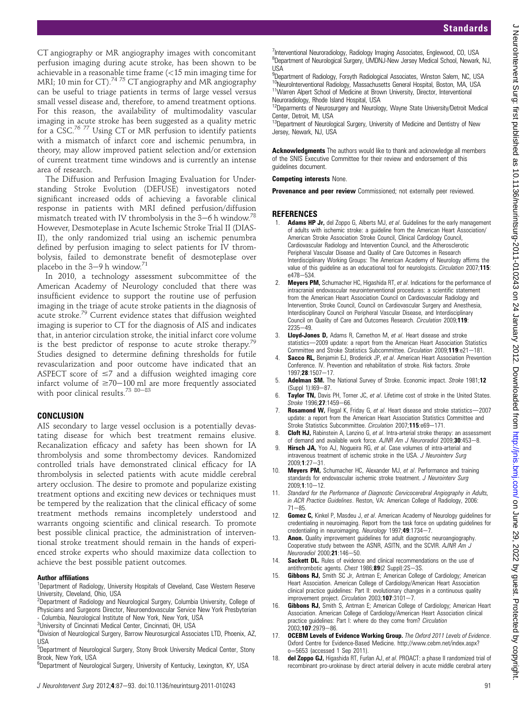CT angiography or MR angiography images with concomitant perfusion imaging during acute stroke, has been shown to be achievable in a reasonable time frame (<15 min imaging time for MRI; 10 min for  $CT$ ).<sup>74 75</sup> CT angiography and MR angiography can be useful to triage patients in terms of large vessel versus small vessel disease and, therefore, to amend treatment options. For this reason, the availability of multimodality vascular imaging in acute stroke has been suggested as a quality metric for a CSC.<sup>76 77</sup> Using CT or MR perfusion to identify patients with a mismatch of infarct core and ischemic penumbra, in theory, may allow improved patient selection and/or extension of current treatment time windows and is currently an intense area of research.

The Diffusion and Perfusion Imaging Evaluation for Understanding Stroke Evolution (DEFUSE) investigators noted significant increased odds of achieving a favorable clinical response in patients with MRI defined perfusion/diffusion mismatch treated with IV thrombolysis in the  $3-6$  h window.<sup>78</sup> However, Desmoteplase in Acute Ischemic Stroke Trial II (DIAS-II), the only randomized trial using an ischemic penumbra defined by perfusion imaging to select patients for IV thrombolysis, failed to demonstrate benefit of desmoteplase over placebo in the  $3-9$  h window.<sup>71</sup>

In 2010, a technology assessment subcommittee of the American Academy of Neurology concluded that there was insufficient evidence to support the routine use of perfusion imaging in the triage of acute stroke patients in the diagnosis of acute stroke.79 Current evidence states that diffusion weighted imaging is superior to CT for the diagnosis of AIS and indicates that, in anterior circulation stroke, the initial infarct core volume is the best predictor of response to acute stroke therapy.<sup>79</sup> Studies designed to determine defining thresholds for futile revascularization and poor outcome have indicated that an ASPECT score of  $\leq$ 7 and a diffusion weighted imaging core infarct volume of  $\geq 70-100$  ml are more frequently associated with poor clinical results. $7380-83$ 

### **CONCLUSION**

AIS secondary to large vessel occlusion is a potentially devastating disease for which best treatment remains elusive. Recanalization efficacy and safety has been shown for IA thrombolysis and some thrombectomy devices. Randomized controlled trials have demonstrated clinical efficacy for IA thrombolysis in selected patients with acute middle cerebral artery occlusion. The desire to promote and popularize existing treatment options and exciting new devices or techniques must be tempered by the realization that the clinical efficacy of some treatment methods remains incompletely understood and warrants ongoing scientific and clinical research. To promote best possible clinical practice, the administration of interventional stroke treatment should remain in the hands of experienced stroke experts who should maximize data collection to achieve the best possible patient outcomes.

### Author affiliations

<sup>1</sup>Department of Radiology, University Hospitals of Cleveland, Case Western Reserve University, Cleveland, Ohio, USA

- <sup>2</sup>Department of Radiology and Neurological Surgery, Columbia University, College of Physicians and Surgeons Director, Neuroendovascular Service New York Presbyterian - Columbia, Neurological Institute of New York, New York, USA
- <sup>3</sup>University of Cincinnati Medical Center, Cincinnati, OH, USA

4 Division of Neurological Surgery, Barrow Neurosurgical Associates LTD, Phoenix, AZ, USA

<sup>5</sup>Department of Neurological Surgery, Stony Brook University Medical Center, Stony Brook, New York, USA

<sup>6</sup>Department of Neurological Surgery, University of Kentucky, Lexington, KY, USA

<sup>7</sup> Interventional Neuroradiology, Radiology Imaging Associates, Englewood, CO, USA<br><sup>8</sup> Department of Neurological Surgery UMDN UNew Jersey Medical School, Newark <sup>8</sup>Department of Neurological Surgery, UMDNJ-New Jersey Medical School, Newark, NJ, USA

<sup>9</sup>Department of Radiology, Forsyth Radiological Associates, Winston Salem, NC, USA <sup>10</sup>NeuroInterventional Radiology, Massachusetts General Hospital, Boston, MA, USA <sup>11</sup>Warren Alpert School of Medicine at Brown University, Director, Interventional Neuroradiology, Rhode Island Hospital, USA

<sup>12</sup>Deparments of Neurosurgery and Neurology, Wayne State University/Detroit Medical Center, Detroit, MI, USA

<sup>13</sup>Department of Neurological Surgery, University of Medicine and Dentistry of New Jersey, Newark, NJ, USA

Acknowledgments The authors would like to thank and acknowledge all members of the SNIS Executive Committee for their review and endorsement of this guidelines document.

### Competing interests None.

**Provenance and peer review** Commissioned; not externally peer reviewed.

### **REFERENCES**

- 1. **Adams HP Jr,** del Zoppo G, Alberts MJ, et al. Guidelines for the early management of adults with ischemic stroke: a guideline from the American Heart Association/ American Stroke Association Stroke Council, Clinical Cardiology Council, Cardiovascular Radiology and Intervention Council, and the Atherosclerotic Peripheral Vascular Disease and Quality of Care Outcomes in Research Interdisciplinary Working Groups: The American Academy of Neurology affirms the value of this quideline as an educational tool for neurologists. *Circulation* 2007;115:  $6478 - 534$
- 2. Meyers PM, Schumacher HC, Higashida RT, et al. Indications for the performance of intracranial endovascular neurointerventional procedures: a scientific statement from the American Heart Association Council on Cardiovascular Radiology and Intervention, Stroke Council, Council on Cardiovascular Surgery and Anesthesia, Interdisciplinary Council on Peripheral Vascular Disease, and Interdisciplinary Council on Quality of Care and Outcomes Research. Circulation 2009;119:  $2235 - 49$
- Lloyd-Jones D, Adams R, Carnethon M, et al. Heart disease and stroke statistics-2009 update: a report from the American Heart Association Statistics Committee and Stroke Statistics Subcommittee. Circulation 2009;119:e21-181.
- Sacco RL, Benjamin EJ, Broderick JP, et al. American Heart Association Prevention Conference. IV. Prevention and rehabilitation of stroke. Risk factors. Stroke 1997;28:1507-17.
- 5. **Adelman SM.** The National Survey of Stroke. Economic impact. Stroke 1981;12  $(Sunn 1)$ : $169-87$
- 6. Taylor TN, Davis PH, Torner JC, et al. Lifetime cost of stroke in the United States. Stroke 1996:27:1459-66.
- Rosamond W, Flegal K, Friday G, et al. Heart disease and stroke statistics-2007 update: a report from the American Heart Association Statistics Committee and Stroke Statistics Subcommittee. Circulation 2007;115:e69-171.
- 8. Cloft HJ, Rabinstein A, Lanzino G, et al. Intra-arterial stroke therapy: an assessment of demand and available work force. AJNR Am J Neuroradiol 2009;30:453-8.
- 9. Hirsch JA, Yoo AJ, Nogueira RG, et al. Case volumes of intra-arterial and intravenous treatment of ischemic stroke in the USA. J Neurointerv Surg  $2009:1:27-31.$
- 10. Meyers PM, Schumacher HC, Alexander MJ, et al. Performance and training standards for endovascular ischemic stroke treatment. J Neurointerv Surg  $2009:1:10-12.$
- 11. Standard for the Performance of Diagnostic Cervicocerebral Angiography in Adults, in ACR Practice Guidelines. Reston, VA: American College of Radiology, 2006:  $71 - 85$
- 12. Gomez C, Kinkel P, Masdeu J, et al. American Academy of Neurology guidelines for credentialing in neuroimaging. Report from the task force on updating guidelines for credentialing in neuroimaging. Neurology 1997;49:1734-7.
- 13. **Anon.** Quality improvement guidelines for adult diagnostic neuroangiography. Cooperative study between the ASNR, ASITN, and the SCVIR. AJNR Am J Neuroradiol 2000;21:146-50.
- 14. **Sackett DL.** Rules of evidence and clinical recommendations on the use of antithrombotic agents. Chest  $1986;89(2 \text{ Suppl}):2S-3S$ .
- 15. **Gibbons RJ,** Smith SC Jr, Antman E; American College of Cardiology; American Heart Association. American College of Cardiology/American Heart Association clinical practice guidelines: Part II: evolutionary changes in a continuous quality improvement project. Circulation 2003;107:3101-7.
- 16. **Gibbons RJ,** Smith S, Antman E; American College of Cardiology; American Heart Association. American College of Cardiology/American Heart Association clinical practice guidelines: Part I: where do they come from? Circulation 2003:107:2979-86.
- OCEBM Levels of Evidence Working Group. The Oxford 2011 Levels of Evidence. Oxford Centre for Evidence-Based Medicine. http://www.cebm.net/index.aspx?  $o=5653$  (accessed 1 Sep 2011).
- 18. del Zoppo GJ, Higashida RT, Furlan AJ, et al. PROACT: a phase II randomized trial of recombinant pro-urokinase by direct arterial delivery in acute middle cerebral artery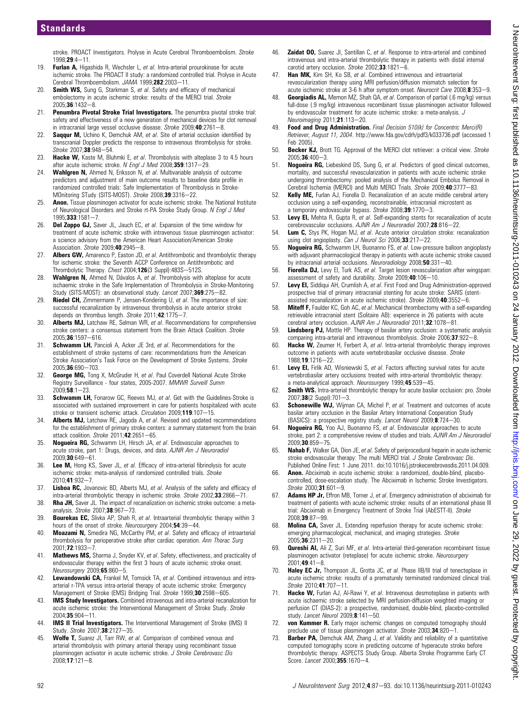stroke. PROACT Investigators. Prolyse in Acute Cerebral Thromboembolism. Stroke  $1998:29:4-11.$ 

- 19. **Furlan A,** Higashida R, Wechsler L, et al. Intra-arterial prourokinase for acute ischemic stroke. The PROACT II study: a randomized controlled trial. Prolyse in Acute Cerebral Thromboembolism. JAMA 1999:282:2003-11.
- 20. Smith WS, Sung G, Starkman S, et al. Safety and efficacy of mechanical embolectomy in acute ischemic stroke: results of the MERCI trial. Stroke  $2005:36:1432 - 8$
- 21. Penumbra Pivotal Stroke Trial Investigators. The penumbra pivotal stroke trial: safety and effectiveness of a new generation of mechanical devices for clot removal in intracranial large vessel occlusive disease. Stroke 2009:40:2761-8.
- 22. Saqqur M, Uchino K, Demchuk AM, et al. Site of arterial occlusion identified by transcranial Doppler predicts the response to intravenous thrombolysis for stroke. Stroke 2007:38:948-54.
- 23. **Hacke W,** Kaste M, Bluhmki E, et al. Thrombolysis with alteplase 3 to 4.5 hours after acute ischemic stroke. N Engl J Med 2008;359:1317-29.
- 24. Wahlgren N, Ahmed N, Eriksson N, et al. Multivariable analysis of outcome predictors and adjustment of main outcome results to baseline data profile in randomized controlled trials: Safe Implementation of Thrombolysis in Stroke-MOnitoring STudy (SITS-MOST). Stroke 2008;39:3316-22.
- 25. **Anon.** Tissue plasminogen activator for acute ischemic stroke. The National Institute of Neurological Disorders and Stroke rt-PA Stroke Study Group. N Engl J Med 1995;333:1581-7.
- 26. Del Zoppo GJ, Saver JL, Jauch EC, et al. Expansion of the time window for treatment of acute ischemic stroke with intravenous tissue plasminogen activator: a science advisory from the American Heart Association/American Stroke Association. Stroke  $2009:40:2945-8$ .
- 27. Albers GW, Amarenco P, Easton JD, et al. Antithrombotic and thrombolytic therapy for ischemic stroke: the Seventh ACCP Conference on Antithrombotic and Thrombolytic Therapy. Chest 2004;126(3 Suppl):483S-512S.
- 28. **Wahlgren N,** Ahmed N, Dávalos A, et al. Thrombolysis with alteplase for acute ischaemic stroke in the Safe Implementation of Thrombolysis in Stroke-Monitoring Study (SITS-MOST): an observational study. Lancet 2007;369:275-82.
- 29. Riedel CH, Zimmermann P, Jensen-Kondering U, et al. The importance of size: successful recanalization by intravenous thrombolysis in acute anterior stroke depends on thrombus length. Stroke 2011;42:1775-7.
- 30. Alberts MJ, Latchaw RE, Selman WR, et al. Recommendations for comprehensive stroke centers: a consensus statement from the Brain Attack Coalition. Stroke  $2005:36:1597 - 616$
- 31. **Schwamm LH,** Pancioli A, Acker JE 3rd, et al. Recommendations for the establishment of stroke systems of care: recommendations from the American Stroke Association's Task Force on the Development of Stroke Systems. Stroke 2005:36:690-703
- 32. George MG, Tong X, McGruder H, et al. Paul Coverdell National Acute Stroke Registry Surveillance - four states, 2005-2007. MMWR Surveill Summ  $2009$ ; 58:1-23.
- 33. Schwamm LH, Fonarow GC, Reeves MJ, et al. Get with the Guidelines-Stroke is associated with sustained improvement in care for patients hospitalized with acute stroke or transient ischemic attack. Circulation 2009;119:107-15.
- 34. **Alberts MJ,** Latchaw RE, Jagoda A, et al. Revised and updated recommendations for the establishment of primary stroke centers: a summary statement from the brain attack coalition. Stroke 2011;42:2651-65.
- 35. Nogueira RG, Schwamm LH, Hirsch JA, et al. Endovascular approaches to acute stroke, part 1: Drugs, devices, and data. AJNR Am J Neuroradiol  $2009; 30:649 - 61.$
- 36. Lee M, Hong KS, Saver JL, et al. Efficacy of intra-arterial fibrinolysis for acute ischemic stroke: meta-analysis of randomized controlled trials. Stroke 2010:41:932-7.
- 37. Lisboa RC, Jovanovic BD, Alberts MJ, et al. Analysis of the safety and efficacy of intra-arterial thrombolytic therapy in ischemic stroke. Stroke  $2002:33:2866 - 71$ .
- 38. Rha JH, Saver JL. The impact of recanalization on ischemic stroke outcome: a metaanalysis. Stroke 2007;38:967-73.
- 39. Bourekas EC, Slivka AP, Shah R, et al. Intraarterial thrombolytic therapy within 3 hours of the onset of stroke. Neurosurgery 2004;54:39-44.
- 40. **Moazami N,** Smedira NG, McCarthy PM, et al. Safety and efficacy of intraarterial thrombolysis for perioperative stroke after cardiac operation. Ann Thorac Surg 2001:72:1933-7
- 41. Mathews MS, Sharma J, Snyder KV, et al. Safety, effectiveness, and practicality of endovascular therapy within the first 3 hours of acute ischemic stroke onset. Neurosurgery 2009:65:860-5.
- 42. Lewandowski CA, Frankel M, Tomsick TA, et al. Combined intravenous and intraarterial r-TPA versus intra-arterial therapy of acute ischemic stroke: Emergency Management of Stroke (EMS) Bridging Trial. Stroke 1999;30:2598-605.
- 43. **IMS Study Investigators.** Combined intravenous and intra-arterial recanalization for acute ischemic stroke: the Interventional Management of Stroke Study. Stroke  $2004:35:904 - 11$
- 44. **IMS II Trial Investigators.** The Interventional Management of Stroke (IMS) II Study. Stroke 2007;38:2127-35.
- 45. Wolfe T, Suarez JI, Tarr RW, et al. Comparison of combined venous and arterial thrombolysis with primary arterial therapy using recombinant tissue plasminogen activator in acute ischemic stroke. J Stroke Cerebrovasc Dis  $2008;17:121-8.$
- 46. **Zaidat 00.** Suarez JL Santillan C, et al. Response to intra-arterial and combined intravenous and intra-arterial thrombolytic therapy in patients with distal internal carotid artery occlusion. Stroke  $2002; 33:1821 - 6$ .
- 47. Han MK, Kim SH, Ko SB, et al. Combined intravenous and intraarterial revascularization therapy using MRI perfusion/diffusion mismatch selection for acute ischemic stroke at 3-6 h after symptom onset. Neurocrit Care 2008:8:353-9.
- 48. Georgiadis AL, Memon MZ, Shah QA, et al. Comparison of partial (.6 mg/kg) versus full-dose (.9 mg/kg) intravenous recombinant tissue plasminogen activator followed by endovascular treatment for acute ischemic stroke: a meta-analysis. J  $Neuroimaqing$  2011;21:113-20.
- 49. Food and Drug Administration. Final Decision 510(k) for Concentric Merci(R) Retriever, August 11, 2004. http://www.fda.gov/cdrh/pdf3/k033736.pdf (accessed 1 Feb 2005).
- 50. **Becker KJ,** Brott TG. Approval of the MERCI clot retriever: a critical view. Stroke  $2005:36:400-3$
- 51. Nogueira RG, Liebeskind DS, Sung G, et al. Predictors of good clinical outcomes, mortality, and successful revascularization in patients with acute ischemic stroke undergoing thrombectomy: pooled analysis of the Mechanical Embolus Removal in Cerebral Ischemia (MERCI) and Multi MERCI Trials. Stroke 2009;40:3777-83.
- 52. Kelly ME, Furlan AJ, Fiorella D. Recanalization of an acute middle cerebral artery occlusion using a self-expanding, reconstrainable, intracranial microstent as a temporary endovascular bypass. Stroke 2008;39:1770-3.
- 53. Levy EI, Mehta R, Gupta R, et al. Self-expanding stents for recanalization of acute cerebrovascular occlusions. AJNR Am J Neuroradiol 2007;28:816-22.
- 54. Lum C, Stys PK, Hogan MJ, et al. Acute anterior circulation stroke: recanalization using clot angioplasty. Can J Neurol Sci 2006;33:217-22.
- 55. Nogueira RG, Schwamm LH, Buonanno FS, et al. Low-pressure balloon angioplasty with adjuvant pharmacological therapy in patients with acute ischemic stroke caused by intracranial arterial occlusions. Neuroradiology 2008;50:331-40.
- 56. **Fiorella DJ,** Levy El, Turk AS, et al. Target lesion revascularization after wingspan: assessment of safety and durability. Stroke 2009;40:106-10.
- 57. Levy EI, Siddiqui AH, Crumlish A, et al. First Food and Drug Administration-approved prospective trial of primary intracranial stenting for acute stroke: SARIS (stentassisted recanalization in acute ischemic stroke). Stroke 2009;40:3552-6.
- 58. **Miteff F**, Faulder KC, Goh AC, et al. Mechanical thrombectomy with a self-expanding retrievable intracranial stent (Solitaire AB): experience in 26 patients with acute cerebral artery occlusion. AJNR Am J Neuroradiol 2011;32:1078-81.
- 59. Lindsberg PJ, Mattle HP. Therapy of basilar artery occlusion: a systematic analysis comparing intra-arterial and intravenous thrombolysis. Stroke  $2006; 37:922-8$ .
- 60. Hacke W, Zeumer H, Ferbert A, et al. Intra-arterial thrombolytic therapy improves outcome in patients with acute vertebrobasilar occlusive disease. Stroke 1988:19:1216-22.
- 61. Levy EI, Firlik AD, Wisniewski S, et al. Factors affecting survival rates for acute vertebrobasilar artery occlusions treated with intra-arterial thrombolytic therapy: a meta-analytical approach. Neurosurgery 1999;45:539-45.
- 62. Smith WS. Intra-arterial thrombolytic therapy for acute basilar occlusion: pro. Stroke  $2007:38(2 \text{ Sunol}):701-3.$
- 63. Schonewille WJ, Wijman CA, Michel P, et al. Treatment and outcomes of acute basilar artery occlusion in the Basilar Artery International Cooperation Study (BASICS): a prospective registry study. Lancet Neurol 2009;8:724-30.
- 64. Nogueira RG, Yoo AJ, Buonanno FS, et al. Endovascular approaches to acute stroke, part 2: a comprehensive review of studies and trials. AJNR Am J Neuroradiol 2009;30:859-75.
- 65. Nahab F, Walker GA, Dion JE, et al. Safety of periprocedural heparin in acute ischemic stroke endovascular therapy: The multi MERCI trial. J Stroke Cerebrovasc Dis. Published Online First: 1 June 2011. doi:10.1016/j.jstrokecerebrovasdis.2011.04.009.
- 66. Anon. Abciximab in acute ischemic stroke: a randomized, double-blind, placebocontrolled, dose-escalation study. The Abciximab in Ischemic Stroke Investigators. Stroke 2000;31:601-9.
- 67. Adams HP Jr, Effron MB, Torner J, et al. Emergency administration of abciximab for treatment of patients with acute ischemic stroke: results of an international phase III trial: Abciximab in Emergency Treatment of Stroke Trial (AbESTT-II). Stroke 2008:39:87-99.
- 68. Molina CA, Saver JL. Extending reperfusion therapy for acute ischemic stroke: emerging pharmacological, mechanical, and imaging strategies. Stroke  $2005:36:2311 - 20$
- 69. **Qureshi AI,** Ali Z, Suri MF, et al. Intra-arterial third-generation recombinant tissue plasminogen activator (reteplase) for acute ischemic stroke. Neurosurgery  $2001:49:41-8.$
- 70. Haley EC Jr, Thompson JL, Grotta JC, et al. Phase IIB/III trial of tenecteplase in acute ischemic stroke: results of a prematurely terminated randomized clinical trial.  $Stroke 2010:41:707-11.$
- Hacke W, Furlan AJ, Al-Rawi Y, et al. Intravenous desmoteplase in patients with acute ischaemic stroke selected by MRI perfusion-diffusion weighted imaging or perfusion CT (DIAS-2): a prospective, randomised, double-blind, placebo-controlled study. Lancet Neurol 2009:8:141-50.
- 72. von Kummer R. Early major ischemic changes on computed tomography should preclude use of tissue plasminogen activator. Stroke 2003;34:820-1.
- 73. **Barber PA,** Demchuk AM, Zhang J, et al. Validity and reliability of a quantitative computed tomography score in predicting outcome of hyperacute stroke before thrombolytic therapy. ASPECTS Study Group. Alberta Stroke Programme Early CT Score. Lancet 2000;355:1670-4.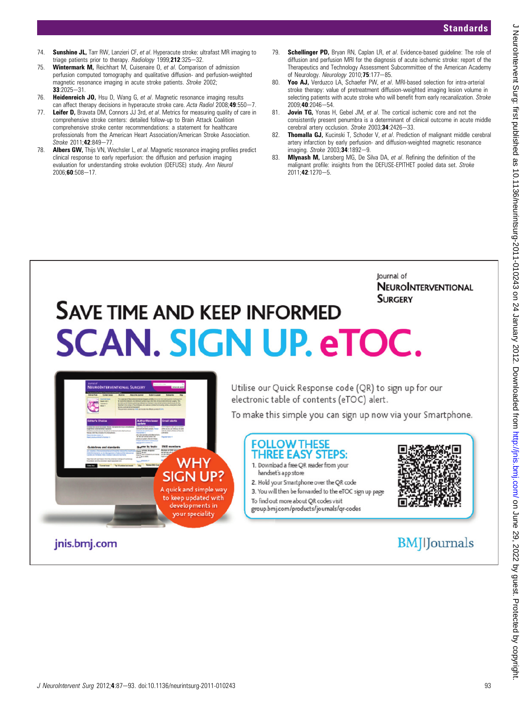- 74. Sunshine JL, Tarr RW, Lanzieri CF, et al. Hyperacute stroke: ultrafast MR imaging to triage patients prior to therapy. Radiology 1999;212:325-32.
- 75. Wintermark M, Reichhart M, Cuisenaire O, et al. Comparison of admission perfusion computed tomography and qualitative diffusion- and perfusion-weighted magnetic resonance imaging in acute stroke patients. Stroke 2002;  $33:2025 - 31$
- 76. Heidenreich JO, Hsu D, Wang G, et al. Magnetic resonance imaging results can affect therapy decisions in hyperacute stroke care. Acta Radiol  $2008,49.550 - 7$ .
- 77. **Leifer D,** Bravata DM, Connors  $JJ$  3rd, et al. Metrics for measuring quality of care in comprehensive stroke centers: detailed follow-up to Brain Attack Coalition comprehensive stroke center recommendations: a statement for healthcare professionals from the American Heart Association/American Stroke Association. Stroke 2011;42:849-77.
- 78. **Albers GW,** Thijs VN, Wechsler L, et al. Magnetic resonance imaging profiles predict clinical response to early reperfusion: the diffusion and perfusion imaging evaluation for understanding stroke evolution (DEFUSE) study. Ann Neurol  $2006:60:508 - 17$
- 79. **Schellinger PD**, Bryan RN, Caplan LB, et al. Evidence-based guideline: The role of diffusion and perfusion MRI for the diagnosis of acute ischemic stroke: report of the Therapeutics and Technology Assessment Subcommittee of the American Academy of Neurology. Neurology  $2010$ ; 75:177-85
- 80. **Yoo AJ, Verduzco LA, Schaefer PW, et al. MRI-based selection for intra-arterial** stroke therapy: value of pretreatment diffusion-weighted imaging lesion volume in selecting patients with acute stroke who will benefit from early recanalization. Stroke  $2009:40:2046 - 54$
- 81. **Jovin TG,** Yonas H, Gebel JM, et al. The cortical ischemic core and not the consistently present penumbra is a determinant of clinical outcome in acute middle cerebral artery occlusion. Stroke 2003:34:2426-33.
- 82. Thomalla GJ, Kucinski T, Schoder V, et al. Prediction of malignant middle cerebral artery infarction by early perfusion- and diffusion-weighted magnetic resonance imaging. Stroke 2003;34:1892-9.
- 83. **MIvnash M,** Lansberg MG, De Silva DA, et al. Refining the definition of the malignant profile: insights from the DEFUSE-EPITHET pooled data set. Stroke  $2011 \cdot 42 \cdot 1270 - 5$



# **SAVE TIME AND KEEP INFORMED SCAN. SIGN UP. eTOC.**



Utilise our Quick Response code (QR) to sign up for our electronic table of contents (eTOC) alert.

To make this simple you can sign up now via your Smartphone.



1. Download a free QR reader from your handset's app store

- 2. Hold your Smartphone over the QR code
- 3. You will then be forwarded to the eTOC sign up page
- To find out more about OR codes visit
- group.bmj.com/products/journals/qr-codes



## BMJIJournals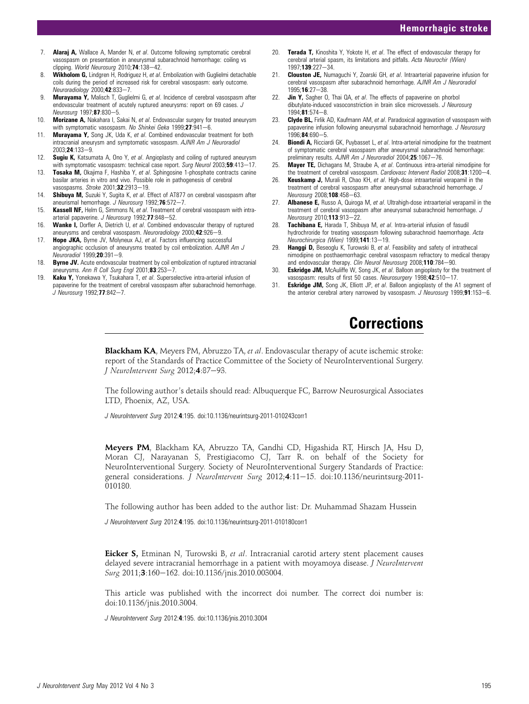- 7. **Alaraj A,** Wallace A, Mander N, et al. Outcome following symptomatic cerebral vasospasm on presentation in aneurysmal subarachnoid hemorrhage: coiling vs clipping. World Neurosurg 2010;74:138-42.
- 8. Wikholom G, Lindgren H, Rodriguez H, et al. Embolization with Guglielmi detachable coils during the period of increased risk for cerebral vasospasm: early outcome. Neuroradiology 2000:42:833-7.
- 9. Murayama Y, Malisch T, Guglielmi G, et al. Incidence of cerebral vasospasm after endovascular treatment of acutely ruptured aneurysms: report on 69 cases. J  $Neurosura$  1997:87:830-5.
- 10. **Morizane A, Nakahara I, Sakai N, et al. Endovascular surgery for treated aneurysm** with symptomatic vasospasm. No Shinkei Geka 1999;27:941-6.
- 11. Murayama Y, Song JK, Uda K, et al. Combined endovascular treatment for both intracranial aneurysm and symptomatic vasospasm. AJNR Am J Neuroradiol 2003:24:133-9.
- 12. **Sugiu K,** Katsumata A, Ono Y, et al. Angioplasty and coiling of ruptured aneurysm with symptomatic vasospasm: technical case report. Surg Neurol 2003;59:413-17.
- 13. Tosaka M, Okajima F, Hashiba Y, et al. Sphingosine 1-phosphate contracts canine basilar arteries in vitro and vivo. Possible role in pathogenesis of cerebral vasospasms. Stroke  $2001;32:2913-19$ .
- 14. **Shibuya M,** Suzuki Y, Sugita K, et al. Effect of AT877 on cerebral vasospasm after aneurismal hemorrhage. J Neurosurg 1992; 76:572-7.
- 15. Kassell NF, Helm G, Simmons N, et al. Treatment of cerebral vasospasm with intraarterial papaverine. J Neurosurg 1992;77:848-52.
- 16. Wanke I, Dorfler A, Dietrich U, et al. Combined endovascular therapy of ruptured aneurysms and cerebral vasospasm. Neuroradiology 2000:42:926-9.
- 17. Hope JKA, Byrne JV, Molyneux AJ, et al. Factors influencing successful angiographic occlusion of aneurysms treated by coil embolization. AJNR Am J Neuroradiol 1999;20:391-9.
- 18. Byrne JV. Acute endovascular treatment by coil embolization of ruptured intracranial aneurysms. Ann R Coll Surg Engl  $2001;83:253-7$ .
- 19. Kaku Y, Yonekawa Y, Tsukahara T, et al. Superselective intra-arterial infusion of papaverine for the treatment of cerebral vasospasm after subarachnoid hemorrhage.  $J$  Neurosurg 1992;77:842-7.
- 20. **Terada T**, Kinoshita Y, Yokote H, et al. The effect of endovascular therapy for cerebral arterial spasm, its limitations and pitfalls. Acta Neurochir (Wien) 1997;139:227-34.
- 21. Clouston JE, Numaguchi Y, Zoarski GH, et al. Intraarterial papaverine infusion for cerebral vasospasm after subarachnoid hemorrhage. AJNR Am J Neuroradiol 1995:16:27-38
- 22. **Jin Y,** Sagher O, Thai QA, et al. The effects of papaverine on phorbol dibutylate-induced vasoconstriction in brain slice microvessels. J Neurosurg  $1994 \cdot 81.574 - 8$
- 23. Clyde BL, Firlik AD, Kaufmann AM, et al. Paradoxical aggravation of vasospasm with papaverine infusion following aneurysmal subarachnoid hemorrhage. J Neurosurg 1996:84:690-5.
- 24. Biondi A, Ricciardi GK, Puybasset L, et al. Intra-arterial nimodipine for the treatment of symptomatic cerebral vasospasm after aneurysmal subarachnoid hemorrhage: preliminary results.  $A\text{-}N\text{-}B\text{-}N$  Neuroradiol 2004:25:1067-76.
- 25. Mayer TE, Dichagans M, Straube A, et al. Continuous intra-arterial nimodipine for the treatment of cerebral vasospasm. Cardiovasc Intervent Radiol 2008;31:1200-4.
- 26. Keuskamp J, Murali R, Chao KH, et al. High-dose intraarterial verapamil in the treatment of cerebral vasospasm after aneurysmal subarachnoid hemorrhage. J Neurosurg 2008;108:458-63.
- 27. **Albanese E,** Russo A, Quiroga M, et al. Ultrahigh-dose intraarterial verapamil in the treatment of cerebral vasospasm after aneurysmal subarachnoid hemorrhage. J Neurosurg 2010;113:913-22.
- 28. Tachibana E, Harada T, Shibuya M, et al. Intra-arterial infusion of fasudil hydrochroride for treating vasospasm following subarachnoid haemorrhage. Acta Neurochirurgica (Wien) 1999;141:13-19.
- 29. Hanggi D, Beseoglu K, Turowski B, et al. Feasibility and safety of intrathecal nimodipine on posthaemorrhagic cerebral vasospasm refractory to medical therapy and endovascular therapy. Clin Neurol Neurosurg 2008;110:784-90.
- 30. **Eskridge JM,** McAuliffe W, Song JK, et al. Balloon angioplasty for the treatment of vasospasm: results of first 50 cases. Neurosurgery 1998;42:510-17.
- 31. Eskridge JM, Song JK, Elliott JP, et al. Balloon angioplasty of the A1 segment of the anterior cerebral artery narrowed by vasospasm. J Neurosurg 1999;91:153-6.

## **Corrections**

Blackham KA, Meyers PM, Abruzzo TA, et al. Endovascular therapy of acute ischemic stroke: report of the Standards of Practice Committee of the Society of NeuroInterventional Surgery. J NeuroIntervent Surg 2012;4:87-93.

The following author's details should read: Albuquerque FC, Barrow Neurosurgical Associates LTD, Phoenix, AZ, USA.

J NeuroIntervent Surg 2012:4:195. doi:10.1136/neurintsurg-2011-010243corr1

Meyers PM, Blackham KA, Abruzzo TA, Gandhi CD, Higashida RT, Hirsch JA, Hsu D, Moran CJ, Narayanan S, Prestigiacomo CJ, Tarr R. on behalf of the Society for NeuroInterventional Surgery. Society of NeuroInterventional Surgery Standards of Practice: general considerations. *J NeuroIntervent Surg* 2012;4:11-15. doi:10.1136/neurintsurg-2011-010180.

The following author has been added to the author list: Dr. Muhammad Shazam Hussein

J NeuroIntervent Surg 2012:4:195. doi:10.1136/neurintsurg-2011-010180corr1

Eicker S, Etminan N, Turowski B, et al. Intracranial carotid artery stent placement causes delayed severe intracranial hemorrhage in a patient with moyamoya disease. J NeuroIntervent Surg 2011;3:160-162. doi:10.1136/jnis.2010.003004.

This article was published with the incorrect doi number. The correct doi number is: doi:10.1136/jnis.2010.3004.

J NeuroIntervent Surg 2012:4:195. doi:10.1136/jnis.2010.3004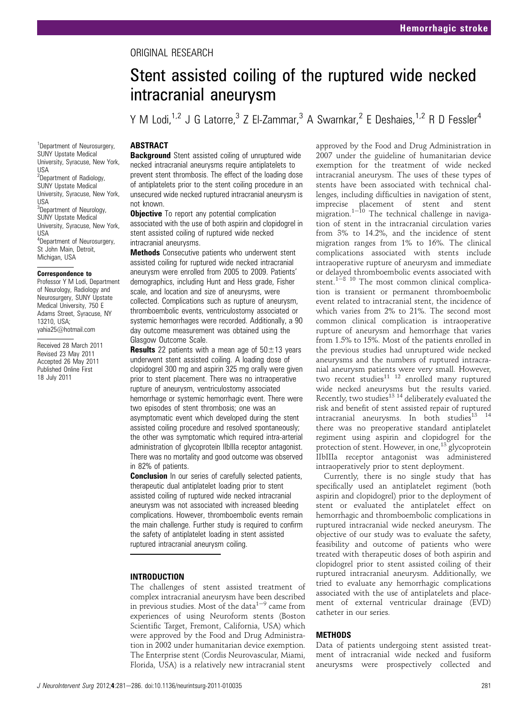### ORIGINAL RESEARCH

## Stent assisted coiling of the ruptured wide necked intracranial aneurysm

Y M Lodi,<sup>1,2</sup> J G Latorre,<sup>3</sup> Z El-Zammar,<sup>3</sup> A Swarnkar,<sup>2</sup> E Deshaies,<sup>1,2</sup> R D Fessler<sup>4</sup>

### **ABSTRACT**

SUNY Upstate Medical University, Syracuse, New York, **IISA** <sup>2</sup>Department of Radiology, SUNY Upstate Medical University, Syracuse, New York, USA <sup>3</sup>Department of Neurology, SUNY Upstate Medical University, Syracuse, New York, **IISA** <sup>4</sup>Department of Neurosurgery, St John Main, Detroit, Michigan, USA

<sup>1</sup>Department of Neurosurgery,

### Correspondence to

Professor Y M Lodi, Department of Neurology, Radiology and Neurosurgery, SUNY Upstate Medical University, 750 E Adams Street, Syracuse, NY 13210, USA; yahia25@hotmail.com

Received 28 March 2011 Revised 23 May 2011 Accepted 26 May 2011 Published Online First 18 July 2011

**Background** Stent assisted coiling of unruptured wide necked intracranial aneurysms require antiplatelets to prevent stent thrombosis. The effect of the loading dose of antiplatelets prior to the stent coiling procedure in an unsecured wide necked ruptured intracranial aneurysm is not known.

**Objective** To report any potential complication associated with the use of both aspirin and clopidogrel in stent assisted coiling of ruptured wide necked intracranial aneurysms.

**Methods** Consecutive patients who underwent stent assisted coiling for ruptured wide necked intracranial aneurysm were enrolled from 2005 to 2009. Patients' demographics, including Hunt and Hess grade, Fisher scale, and location and size of aneurysms, were collected. Complications such as rupture of aneurysm, thromboembolic events, ventriculostomy associated or systemic hemorrhages were recorded. Additionally, a 90 day outcome measurement was obtained using the Glasgow Outcome Scale.

**Results** 22 patients with a mean age of  $50\pm13$  years underwent stent assisted coiling. A loading dose of clopidogrel 300 mg and aspirin 325 mg orally were given prior to stent placement. There was no intraoperative rupture of aneurysm, ventriculostomy associated hemorrhage or systemic hemorrhagic event. There were two episodes of stent thrombosis; one was an asymptomatic event which developed during the stent assisted coiling procedure and resolved spontaneously; the other was symptomatic which required intra-arterial administration of glycoprotein IIbIIIa receptor antagonist. There was no mortality and good outcome was observed in 82% of patients.

**Conclusion** In our series of carefully selected patients, therapeutic dual antiplatelet loading prior to stent assisted coiling of ruptured wide necked intracranial aneurysm was not associated with increased bleeding complications. However, thromboembolic events remain the main challenge. Further study is required to confirm the safety of antiplatelet loading in stent assisted ruptured intracranial aneurysm coiling.

### INTRODUCTION

The challenges of stent assisted treatment of complex intracranial aneurysm have been described in previous studies. Most of the data $1-9$  came from experiences of using Neuroform stents (Boston Scientific Target, Fremont, California, USA) which were approved by the Food and Drug Administration in 2002 under humanitarian device exemption. The Enterprise stent (Cordis Neurovascular, Miami, Florida, USA) is a relatively new intracranial stent approved by the Food and Drug Administration in 2007 under the guideline of humanitarian device exemption for the treatment of wide necked intracranial aneurysm. The uses of these types of stents have been associated with technical challenges, including difficulties in navigation of stent, imprecise placement of stent and stent<br>migration.<sup>1–10</sup> The-technical-challenge-in-navigation of stent in the intracranial circulation varies from 3% to 14.2%, and the incidence of stent migration ranges from 1% to 16%. The clinical complications associated with stents include intraoperative rupture of aneurysm and immediate or delayed thromboembolic events associated with stent.<sup>1 $-8$  10</sup> The most common clinical complication is transient or permanent thromboembolic event related to intracranial stent, the incidence of which varies from 2% to 21%. The second most common clinical complication is intraoperative rupture of aneurysm and hemorrhage that varies from 1.5% to 15%. Most of the patients enrolled in the previous studies had unruptured wide necked aneurysms and the numbers of ruptured intracranial aneurysm patients were very small. However, two recent studies<sup>11 12</sup> enrolled many ruptured wide necked aneurysms but the results varied. Recently, two studies<sup>13 14</sup> deliberately evaluated the risk and benefit of stent assisted repair of ruptured intracranial aneurysms. In both studies $^{13}$   $^{14}$ there was no preoperative standard antiplatelet regiment using aspirin and clopidogrel for the protection of stent. However, in one,13 glycoprotein IIbIIIa receptor antagonist was administered intraoperatively prior to stent deployment.

Currently, there is no single study that has specifically used an antiplatelet regiment (both aspirin and clopidogrel) prior to the deployment of stent or evaluated the antiplatelet effect on hemorrhagic and thromboembolic complications in ruptured intracranial wide necked aneurysm. The objective of our study was to evaluate the safety, feasibility and outcome of patients who were treated with therapeutic doses of both aspirin and clopidogrel prior to stent assisted coiling of their ruptured intracranial aneurysm. Additionally, we tried to evaluate any hemorrhagic complications associated with the use of antiplatelets and placement of external ventricular drainage (EVD) catheter in our series.

### **METHODS**

Data of patients undergoing stent assisted treatment of intracranial wide necked and fusiform aneurysms were prospectively collected and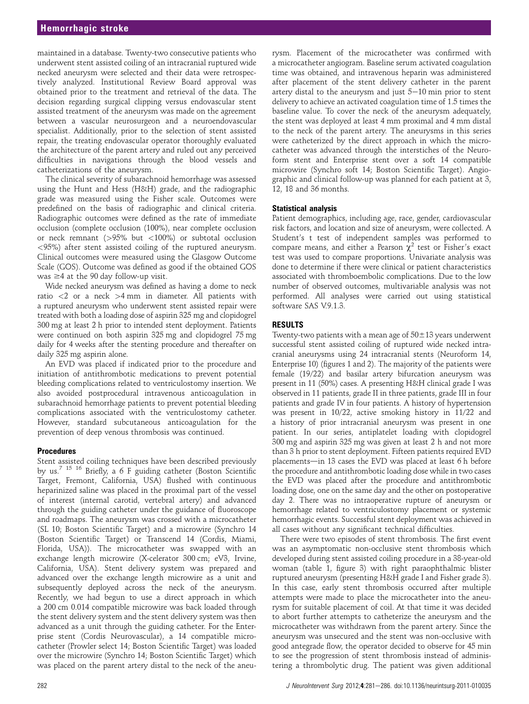maintained in a database. Twenty-two consecutive patients who underwent stent assisted coiling of an intracranial ruptured wide necked aneurysm were selected and their data were retrospectively analyzed. Institutional Review Board approval was obtained prior to the treatment and retrieval of the data. The decision regarding surgical clipping versus endovascular stent assisted treatment of the aneurysm was made on the agreement between a vascular neurosurgeon and a neuroendovascular specialist. Additionally, prior to the selection of stent assisted repair, the treating endovascular operator thoroughly evaluated the architecture of the parent artery and ruled out any perceived difficulties in navigations through the blood vessels and catheterizations of the aneurysm.

The clinical severity of subarachnoid hemorrhage was assessed using the Hunt and Hess (H&H) grade, and the radiographic grade was measured using the Fisher scale. Outcomes were predefined on the basis of radiographic and clinical criteria. Radiographic outcomes were defined as the rate of immediate occlusion (complete occlusion (100%), near complete occlusion or neck remnant (>95% but <100%) or subtotal occlusion <95%) after stent assisted coiling of the ruptured aneurysm. Clinical outcomes were measured using the Glasgow Outcome Scale (GOS). Outcome was defined as good if the obtained GOS was  $\geq$ 4 at the 90 day follow-up visit.

Wide necked aneurysm was defined as having a dome to neck ratio <2 or a neck >4 mm in diameter. All patients with a ruptured aneurysm who underwent stent assisted repair were treated with both a loading dose of aspirin 325 mg and clopidogrel 300 mg at least 2 h prior to intended stent deployment. Patients were continued on both aspirin 325 mg and clopidogrel 75 mg daily for 4 weeks after the stenting procedure and thereafter on daily 325 mg aspirin alone.

An EVD was placed if indicated prior to the procedure and initiation of antithrombotic medications to prevent potential bleeding complications related to ventriculostomy insertion. We also avoided postprocedural intravenous anticoagulation in subarachnoid hemorrhage patients to prevent potential bleeding complications associated with the ventriculostomy catheter. However, standard subcutaneous anticoagulation for the prevention of deep venous thrombosis was continued.

### **Procedures**

Stent assisted coiling techniques have been described previously by us.<sup>7</sup> 15 16 Briefly, a 6 F guiding catheter (Boston Scientific Target, Fremont, California, USA) flushed with continuous heparinized saline was placed in the proximal part of the vessel of interest (internal carotid, vertebral artery) and advanced through the guiding catheter under the guidance of fluoroscope and roadmaps. The aneurysm was crossed with a microcatheter (SL 10; Boston Scientific Target) and a microwire (Synchro 14 (Boston Scientific Target) or Transcend 14 (Cordis, Miami, Florida, USA)). The microcatheter was swapped with an exchange length microwire (X-celerator 300 cm; eV3, Irvine, California, USA). Stent delivery system was prepared and advanced over the exchange length microwire as a unit and subsequently deployed across the neck of the aneurysm. Recently, we had begun to use a direct approach in which a 200 cm 0.014 compatible microwire was back loaded through the stent delivery system and the stent delivery system was then advanced as a unit through the guiding catheter. For the Enterprise stent (Cordis Neurovascular), a 14 compatible microcatheter (Prowler select 14; Boston Scientific Target) was loaded over the microwire (Synchro 14; Boston Scientific Target) which was placed on the parent artery distal to the neck of the aneu-

rysm. Placement of the microcatheter was confirmed with a microcatheter angiogram. Baseline serum activated coagulation time was obtained, and intravenous heparin was administered after placement of the stent delivery catheter in the parent artery distal to the aneurysm and just  $5-10$  min prior to stent delivery to achieve an activated coagulation time of 1.5 times the baseline value. To cover the neck of the aneurysm adequately, the stent was deployed at least 4 mm proximal and 4 mm distal to the neck of the parent artery. The aneurysms in this series were catheterized by the direct approach in which the microcatheter was advanced through the interstiches of the Neuroform stent and Enterprise stent over a soft 14 compatible microwire (Synchro soft 14; Boston Scientific Target). Angiographic and clinical follow-up was planned for each patient at 3, 12, 18 and 36 months.

### Statistical analysis

Patient demographics, including age, race, gender, cardiovascular risk factors, and location and size of aneurysm, were collected. A Student's t test of independent samples was performed to compare means, and either a Pearson  $\chi^2$  test or Fisher's exact test was used to compare proportions. Univariate analysis was done to determine if there were clinical or patient characteristics associated with thromboembolic complications. Due to the low number of observed outcomes, multivariable analysis was not performed. All analyses were carried out using statistical software SAS V.9.1.3.

### RESULTS

Twenty-two patients with a mean age of  $50\pm13$  years underwent successful stent assisted coiling of ruptured wide necked intracranial aneurysms using 24 intracranial stents (Neuroform 14, Enterprise 10) (figures 1 and 2). The majority of the patients were female (19/22) and basilar artery bifurcation aneurysm was present in 11 (50%) cases. A presenting H&H clinical grade I was observed in 11 patients, grade II in three patients, grade III in four patients and grade IV in four patients. A history of hypertension was present in 10/22, active smoking history in 11/22 and a history of prior intracranial aneurysm was present in one patient. In our series, antiplatelet loading with clopidogrel 300 mg and aspirin 325 mg was given at least 2 h and not more than 3 h prior to stent deployment. Fifteen patients required EVD placements—in 13 cases the EVD was placed at least 6 h before the procedure and antithrombotic loading dose while in two cases the EVD was placed after the procedure and antithrombotic loading dose, one on the same day and the other on postoperative day 2. There was no intraoperative rupture of aneurysm or hemorrhage related to ventriculostomy placement or systemic hemorrhagic events. Successful stent deployment was achieved in all cases without any significant technical difficulties.

There were two episodes of stent thrombosis. The first event was an asymptomatic non-occlusive stent thrombosis which developed during stent assisted coiling procedure in a 38-year-old woman (table 1, figure 3) with right paraophthalmic blister ruptured aneurysm (presenting H&H grade I and Fisher grade 3). In this case, early stent thrombosis occurred after multiple attempts were made to place the microcatheter into the aneurysm for suitable placement of coil. At that time it was decided to abort further attempts to catheterize the aneurysm and the microcatheter was withdrawn from the parent artery. Since the aneurysm was unsecured and the stent was non-occlusive with good antegrade flow, the operator decided to observe for 45 min to see the progression of stent thrombosis instead of administering a thrombolytic drug. The patient was given additional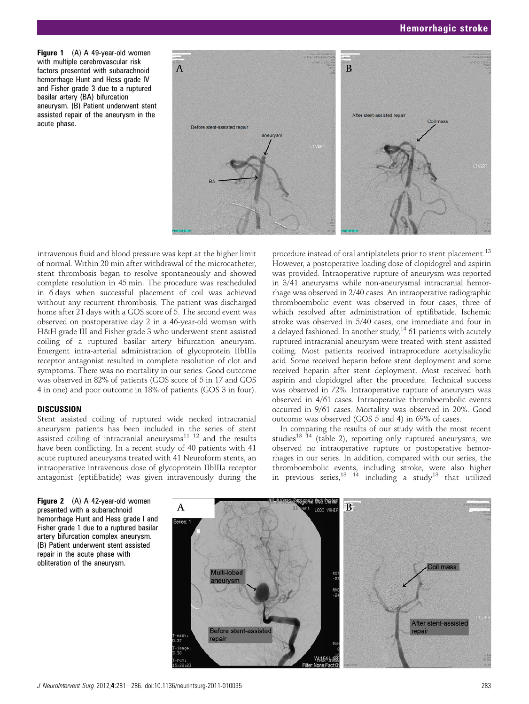### Hemorrhagic stroke

Figure 1 (A) A 49-year-old women with multiple cerebrovascular risk factors presented with subarachnoid hemorrhage Hunt and Hess grade IV and Fisher grade 3 due to a ruptured basilar artery (BA) bifurcation aneurysm. (B) Patient underwent stent assisted repair of the aneurysm in the acute phase.



intravenous fluid and blood pressure was kept at the higher limit of normal. Within 20 min after withdrawal of the microcatheter, stent thrombosis began to resolve spontaneously and showed complete resolution in 45 min. The procedure was rescheduled in 6 days when successful placement of coil was achieved without any recurrent thrombosis. The patient was discharged home after 21 days with a GOS score of 5. The second event was observed on postoperative day 2 in a 46-year-old woman with H&H grade III and Fisher grade 3 who underwent stent assisted coiling of a ruptured basilar artery bifurcation aneurysm. Emergent intra-arterial administration of glycoprotein IIbIIIa receptor antagonist resulted in complete resolution of clot and symptoms. There was no mortality in our series. Good outcome was observed in 82% of patients (GOS score of 5 in 17 and GOS 4 in one) and poor outcome in 18% of patients (GOS 3 in four).

### **DISCUSSION**

Stent assisted coiling of ruptured wide necked intracranial aneurysm patients has been included in the series of stent assisted coiling of intracranial aneurysms $^{11\;\;12}$  and the results have been conflicting. In a recent study of 40 patients with 41 acute ruptured aneurysms treated with 41 Neuroform stents, an intraoperative intravenous dose of glycoprotein IIbIIIa receptor antagonist (eptifibatide) was given intravenously during the

procedure instead of oral antiplatelets prior to stent placement.<sup>13</sup> However, a postoperative loading dose of clopidogrel and aspirin was provided. Intraoperative rupture of aneurysm was reported in 3/41 aneurysms while non-aneurysmal intracranial hemorrhage was observed in 2/40 cases. An intraoperative radiographic thromboembolic event was observed in four cases, three of which resolved after administration of eptifibatide. Ischemic stroke was observed in 5/40 cases, one immediate and four in a delayed fashioned. In another study,  $14$  61 patients with acutely ruptured intracranial aneurysm were treated with stent assisted coiling. Most patients received intraprocedure acetylsalicylic acid. Some received heparin before stent deployment and some received heparin after stent deployment. Most received both aspirin and clopidogrel after the procedure. Technical success was observed in 72%. Intraoperative rupture of aneurysm was observed in 4/61 cases. Intraoperative thromboembolic events occurred in 9/61 cases. Mortality was observed in 20%. Good outcome was observed (GOS 5 and 4) in 69% of cases.

In comparing the results of our study with the most recent studies<sup>13</sup><sup>14</sup> (table 2), reporting only ruptured aneurysms, we observed no intraoperative rupture or postoperative hemorrhages in our series. In addition, compared with our series, the thromboembolic events, including stroke, were also higher in previous series,  $13^{14}$  including a study  $13^{13}$  that utilized

Figure 2 (A) A 42-year-old women presented with a subarachnoid hemorrhage Hunt and Hess grade I and Fisher grade 1 due to a ruptured basilar artery bifurcation complex aneurysm. (B) Patient underwent stent assisted repair in the acute phase with obliteration of the aneurysm.

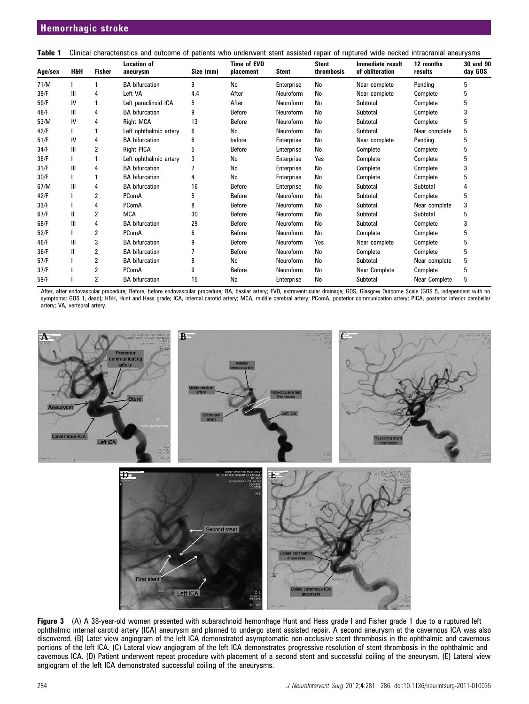Table 1 Clinical characteristics and outcome of patients who underwent stent assisted repair of ruptured wide necked intracranial aneurysms

| Age/sex | <b>H&amp;H</b> | <b>Fisher</b> | <b>Location of</b><br>aneurysm | Size (mm) | Time of EVD<br>placement | <b>Stent</b>     | <b>Stent</b><br>thrombosis | Immediate result<br>of obliteration | 12 months<br>results | 30 and 90<br>day GOS |
|---------|----------------|---------------|--------------------------------|-----------|--------------------------|------------------|----------------------------|-------------------------------------|----------------------|----------------------|
| 71/M    |                |               | <b>BA</b> bifurcation          | 9         | No                       | Enterprise       | No                         | Near complete                       | Pending              | 5                    |
| 39/F    | Ш              | 4             | Left VA                        | 4.4       | After                    | Neuroform        | No                         | Near complete                       | Complete             | 5                    |
| 59/F    | IV             |               | Left paraclinoid ICA           | 5         | After                    | Neuroform        | No                         | Subtotal                            | Complete             | 5                    |
| 48/F    | III            | 4             | <b>BA</b> bifurcation          | 9         | <b>Before</b>            | <b>Neuroform</b> | No                         | Subtotal                            | Complete             | 3                    |
| 53/M    | IV             | 4             | <b>Right MCA</b>               | 13        | Before                   | Neuroform        | No                         | Subtotal                            | Complete             | 5                    |
| 42/F    |                |               | Left ophthalmic artery         | 6         | No                       | Neuroform        | No                         | Subtotal                            | Near complete        | 5                    |
| 51/F    | IV             | 4             | <b>BA</b> bifurcation          | 6         | before                   | Enterprise       | No                         | Near complete                       | Pending              | 5                    |
| 34/F    | Ш              | 2             | <b>Right PICA</b>              |           | <b>Before</b>            | Enterprise       | No                         | Complete                            | Complete             |                      |
| 38/F    |                |               | Left ophthalmic artery         | 3         | No                       | Enterprise       | Yes                        | Complete                            | Complete             | 5                    |
| 31/F    | Ш              | 4             | <b>BA</b> bifurcation          |           | No                       | Enterprise       | No                         | Complete                            | Complete             | 3                    |
| 30/F    |                |               | <b>BA</b> bifurcation          |           | No                       | Enterprise       | No                         | Complete                            | Complete             |                      |
| 67/M    | Ш              | 4             | <b>BA</b> bifurcation          | 16        | <b>Before</b>            | Enterprise       | No                         | Subtotal                            | Subtotal             |                      |
| 42/F    |                | 2             | PComA                          | 5         | <b>Before</b>            | Neuroform        | No                         | Subtotal                            | Complete             | 5                    |
| 33/F    |                | 4             | PComA                          | 8         | <b>Before</b>            | Neuroform        | No                         | Subtotal                            | Near complete        | 3                    |
| 67/F    |                | 2             | <b>MCA</b>                     | 30        | <b>Before</b>            | Neuroform        | No                         | Subtotal                            | Subtotal             | 5                    |
| 68/F    | Ш              | 4             | <b>BA</b> bifurcation          | 29        | <b>Before</b>            | Neuroform        | No                         | Subtotal                            | Complete             | 3                    |
| 52/F    |                | 2             | PComA                          | 6         | <b>Before</b>            | Neuroform        | No                         | Complete                            | Complete             | 5                    |
| 46/F    | Ш              | 3             | <b>BA</b> bifurcation          | 9         | <b>Before</b>            | <b>Neuroform</b> | Yes                        | Near complete                       | Complete             | 5                    |
| 36/F    |                | 2             | <b>BA</b> bifurcation          |           | <b>Before</b>            | Neuroform        | No                         | Complete                            | Complete             | 5                    |
| 57/F    |                | 2             | <b>BA</b> bifurcation          | 8         | No                       | Neuroform        | No                         | Subtotal                            | Near complete        | 5                    |
| 37/F    |                | 2             | PComA                          | g         | <b>Before</b>            | Neuroform        | No                         | Near Complete                       | Complete             | 5                    |
| 59/F    |                | 2             | <b>BA</b> bifurcation          | 15        | No                       | Enterprise       | No                         | Subtotal                            | Near Complete        | 5                    |

After, after endovascular procedure; Before, before endovascular procedure; BA, basilar artery; EVD, extraventricular drainage; GOS, Glasgow Outcome Scale (GOS 5, independent with no symptoms; GOS 1, dead); H&H, Hunt and Hess grade; ICA, internal carotid artery; MCA, middle cerebral artery; PComA, posterior communication artery; PICA, posterior inferior cerebellar artery; VA, vertebral artery.



Figure 3 (A) A 38-year-old women presented with subarachnoid hemorrhage Hunt and Hess grade I and Fisher grade 1 due to a ruptured left ophthalmic internal carotid artery (ICA) aneurysm and planned to undergo stent assisted repair. A second aneurysm at the cavernous ICA was also discovered. (B) Later view angiogram of the left ICA demonstrated asymptomatic non-occlusive stent thrombosis in the ophthalmic and cavernous portions of the left ICA. (C) Lateral view angiogram of the left ICA demonstrates progressive resolution of stent thrombosis in the ophthalmic and cavernous ICA. (D) Patient underwent repeat procedure with placement of a second stent and successful coiling of the aneurysm. (E) Lateral view angiogram of the left ICA demonstrated successful coiling of the aneurysms.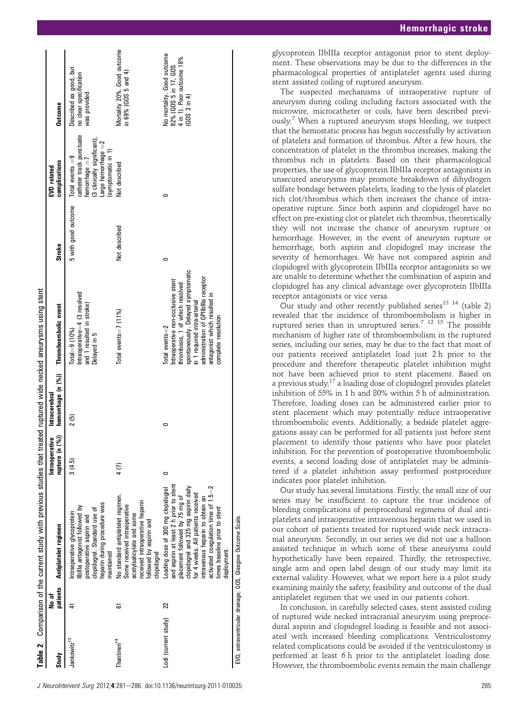|                         |            | Table 2 Comparison of the current study with previous studies that treated ruptured wide necked aneurysms using stent                                                                                                                                                                                                    |                               |               |                                                                                                                                                                                                                                                              |                     |                                                                                                                                                  |                                                                                                  |
|-------------------------|------------|--------------------------------------------------------------------------------------------------------------------------------------------------------------------------------------------------------------------------------------------------------------------------------------------------------------------------|-------------------------------|---------------|--------------------------------------------------------------------------------------------------------------------------------------------------------------------------------------------------------------------------------------------------------------|---------------------|--------------------------------------------------------------------------------------------------------------------------------------------------|--------------------------------------------------------------------------------------------------|
|                         | No of      |                                                                                                                                                                                                                                                                                                                          | Intraoperative                | Intracerebral |                                                                                                                                                                                                                                                              |                     | <b>EVD</b> related                                                                                                                               |                                                                                                  |
| Study                   | patients   | Antiplatelet regimen                                                                                                                                                                                                                                                                                                     | $\binom{96}{2}$<br>rupture (n |               | hemorrhage (n (%)) Thromboembolic event                                                                                                                                                                                                                      | <b>Stroke</b>       | complications                                                                                                                                    | <b>Outcome</b>                                                                                   |
| Jankowitz <sup>13</sup> | $\ddot{4}$ | heparin during procedure was<br>Ilbilla antagonist followed by<br>clopidogrel. Standard use of<br>Intraoperative glycoprotein<br>postoperative aspirin and<br>maintained                                                                                                                                                 | 3(4.5)                        | 2(5)          | Intraoperative=4 (3 resolved<br>and 1 resulted in stroke)<br>$Total = 9 (10%)$<br>Delayed in 5                                                                                                                                                               | 5 with good outcome | catheter track punctuate<br>3 clinically significant),<br>Large hemorrhage $=2$<br>symptomatic in 1)<br>Total events $=9$<br>$h$ emorrhage $=$ 7 | Described as good, but<br>no clear specification<br>was provided                                 |
| Thantinen <sup>14</sup> | ය          | No standard antiplatelet regimen.<br>received intraoperative heparin<br>Some received intraoperative<br>acetylsalicylate and some<br>followed by aspirin and<br>clopidogrel                                                                                                                                              |                               |               | Total events $=$ 7 (11%)                                                                                                                                                                                                                                     | Not described       | Not described                                                                                                                                    | Mortality 20%. Good outcome<br>in 69% (GOS 5 and 4)                                              |
| Lodi (current study)    | 22         | and aspirin at least 2 h prior to stent<br>Loading dose of 300 mg clopidogrel<br>clopidogrel and 325 mg aspirin daily<br>activated coagulation time of 1.5-2<br>for 4 weeks. All patients received<br>placement followed by 75 mg of<br>intravenous heparin to obtain an<br>times baseline prior to stent<br>deployment. | 0                             | 0             | spontaneously. Delayed symptomatic<br>administration of GPIIbIIIa receptor<br>Intraoperative non-occlusive stent<br>thrombosis, 1 of which resolved<br>antagonist which resulted in<br>in 1 required intra-arterial<br>complete resolution<br>Total events=2 |                     |                                                                                                                                                  | No mortality. Good outcome<br>82% (GOS 5 in 17, GOS<br>4 in 1). Poor outcome 18%<br>(GOS 3 in 4) |
|                         |            | EVD, extraventricular drainage; GOS, Glasgow Outcome Scale.                                                                                                                                                                                                                                                              |                               |               |                                                                                                                                                                                                                                                              |                     |                                                                                                                                                  |                                                                                                  |

glycoprotein IIbIIIa receptor antagonist prior to stent deployment. These observations may be due to the differences in the pharmacological properties of antiplatelet agents used during stent assisted coiling of ruptured aneurysm.

The suspected mechanisms of intraoperative rupture of aneurysm during coiling including factors associated with the microwire, microcatheter or coils, have been described previously.<sup>7</sup> When a ruptured aneurysm stops bleeding, we suspect that the hemostatic process has begun successfully by activation of platelets and formation of thrombus. After a few hours, the concentration of platelet in the thrombus increases, making the thrombus rich in platelets. Based on their pharmacological properties, the use of glycoprotein IIbIIIa receptor antagonists in unsecured aneurysms may promote breakdown of dihydrogen sulfate bondage between platelets, leading to the lysis of platelet rich clot/thrombus which then increases the chance of intraoperative rupture. Since both aspirin and clopidrogel have no effect on pre-existing clot or platelet rich thrombus, theoretically they will not increase the chance of aneurysm rupture or hemorrhage. However, in the event of aneurysm rupture or hemorrhage, both aspirin and clopidogrel may increase the severity of hemorrhages. We have not compared aspirin and clopidogrel with glycoprotein IIbIIIa receptor antagonists so we are unable to determine whether the combination of aspirin and clopidogrel has any clinical advantage over glycoprotein IIbIIIa receptor antagonists or vice versa.

Our study and other recently published series<sup>13 14</sup> (table 2) revealed that the incidence of thromboembolism is higher in ruptured series than in unruptured series.<sup>7 12 15</sup> The possible mechanism of higher rate of thromboembolism in the ruptured series, including our series, may be due to the fact that most of our patients received antiplatelet load just 2 h prior to the procedure and therefore therapeutic platelet inhibition might not have been achieved prior to stent placement. Based on a previous study, $^{17}$  a loading dose of clopidogrel provides platelet inhibition of 55% in 1 h and 80% within 5 h of administration. Therefore, loading doses can be administered earlier prior to stent placement which may potentially reduce intraoperative thromboembolic events. Additionally, a bedside platelet aggregations assay can be performed for all patients just before stent placement to identify those patients who have poor platelet inhibition. For the prevention of postoperative thromboembolic events, a second loading dose of antiplatelet may be administered if a platelet inhibition assay performed postprocedure indicates poor platelet inhibition.

Our study has several limitations. Firstly, the small size of our series may be insufficient to capture the true incidence of bleeding complications of periprocedural regimens of dual antiplatelets and intraoperative intravenous heparin that we used in our cohort of patients treated for ruptured wide neck intracranial aneurysm. Secondly, in our series we did not use a balloon assisted technique in which some of these aneurysms could hypothetically have been repaired. Thirdly, the retrospective, single arm and open label design of our study may limit its external validity. However, what we report here is a pilot study examining mainly the safety, feasibility and outcome of the dual antiplatelet regimen that we used in our patients cohort.

In conclusion, in carefully selected cases, stent assisted coiling of ruptured wide necked intracranial aneurysm using preprocedural aspirin and clopidogrel loading is feasible and not associated with increased bleeding complications. Ventriculostomy related complications could be avoided if the ventriculostomy is performed at least 6 h prior to the antiplatelet loading dose. However, the thromboembolic events remain the main challenge